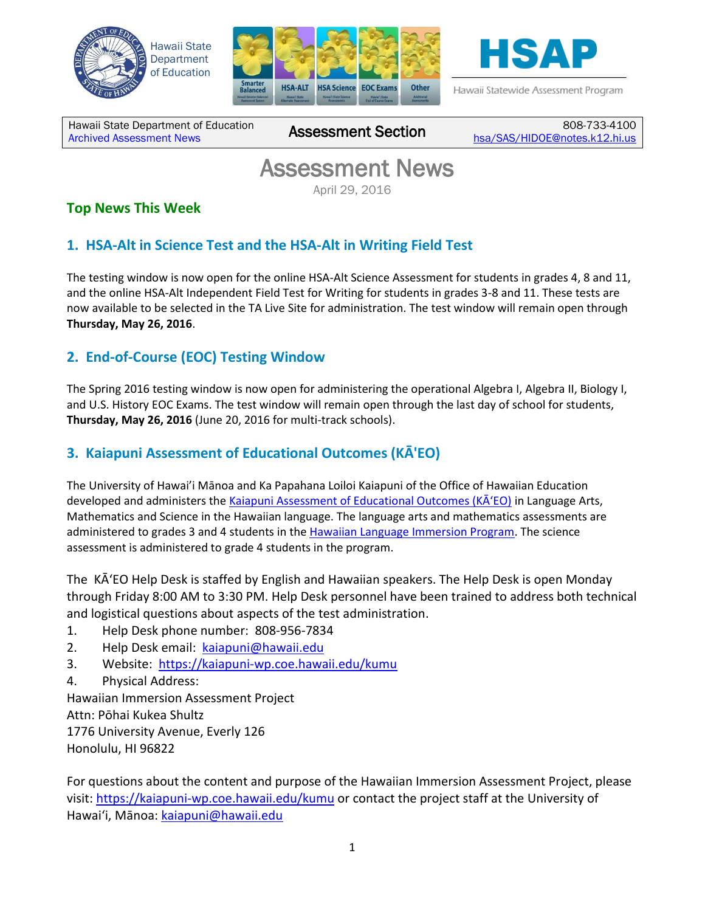





Hawaii Statewide Assessment Program

Hawaii State Department of Education Hawall State Department of Equitation<br>[Archived Assessment News](http://alohahsap.org/SMARTERBALANCED/resources/?section=5)

808-733-4100 [hsa/SAS/HIDOE@notes.k12.hi.us](mailto:hsa/SAS/HIDOE@notes.k12.hi.us)

# Assessment News

April 29, 2016

## **Top News This Week**

## **1. HSA-Alt in Science Test and the HSA-Alt in Writing Field Test**

The testing window is now open for the online HSA-Alt Science Assessment for students in grades 4, 8 and 11, and the online HSA-Alt Independent Field Test for Writing for students in grades 3-8 and 11. These tests are now available to be selected in the TA Live Site for administration. The test window will remain open through **Thursday, May 26, 2016**.

## **2. End-of-Course (EOC) Testing Window**

The Spring 2016 testing window is now open for administering the operational Algebra I, Algebra II, Biology I, and U.S. History EOC Exams. The test window will remain open through the last day of school for students, **Thursday, May 26, 2016** (June 20, 2016 for multi-track schools).

### **3. Kaiapuni Assessment of Educational Outcomes (KĀ'EO)**

The University of Hawai'i Mānoa and Ka Papahana Loiloi Kaiapuni of the Office of Hawaiian Education developed and administers the [Kaiapuni Assessment of Educational Outcomes \(KĀʻEO\)](https://kaiapuni-wp.coe.hawaii.edu/kumu/) in Language Arts, Mathematics and Science in the Hawaiian language. The language arts and mathematics assessments are administered to grades 3 and 4 students in the [Hawaiian Language Immersion Program.](http://www.hawaiipublicschools.org/TeachingAndLearning/StudentLearning/HawaiianEducation/Pages/Kaiapuni-program.aspx) The science assessment is administered to grade 4 students in the program.

The KĀʻEO Help Desk is staffed by English and Hawaiian speakers. The Help Desk is open Monday through Friday 8:00 AM to 3:30 PM. Help Desk personnel have been trained to address both technical and logistical questions about aspects of the test administration.

- 1. Help Desk phone number: 808-956-7834
- 2. Help Desk email: [kaiapuni@hawaii.edu](mailto:kaiapuni@hawaii.edu)
- 3. Website: <https://kaiapuni-wp.coe.hawaii.edu/kumu>
- 4. Physical Address:

Hawaiian Immersion Assessment Project Attn: Pōhai Kukea Shultz 1776 University Avenue, Everly 126 Honolulu, HI 96822

For questions about the content and purpose of the Hawaiian Immersion Assessment Project, please visit:<https://kaiapuni-wp.coe.hawaii.edu/kumu> or contact the project staff at the University of Hawai'i, Mānoa: [kaiapuni@hawaii.edu](mailto:kaiapuni@hawaii.edu)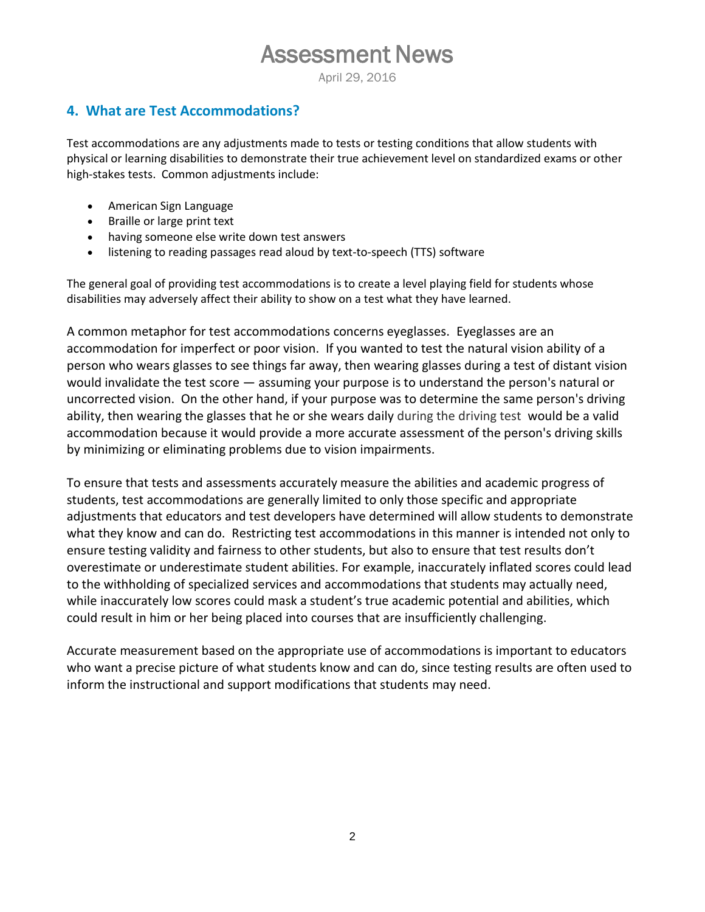April 29, 2016

### **4. What are Test Accommodations?**

Test accommodations are any adjustments made to tests or testing conditions that allow students with physical or learning disabilities to demonstrate their true achievement level on standardized exams or other high-stakes tests. Common adjustments include:

- American Sign Language
- Braille or large print text
- having someone else write down test answers
- listening to reading passages read aloud by text-to-speech (TTS) software

The general goal of providing test accommodations is to create a level playing field for students whose disabilities may adversely affect their ability to show on a test what they have learned.

A common metaphor for test accommodations concerns eyeglasses. Eyeglasses are an accommodation for imperfect or poor vision. If you wanted to test the natural vision ability of a person who wears glasses to see things far away, then wearing glasses during a test of distant vision would invalidate the test score — assuming your purpose is to understand the person's natural or uncorrected vision. On the other hand, if your purpose was to determine the same person's driving ability, then wearing the glasses that he or she wears daily during the driving test would be a valid accommodation because it would provide a more accurate assessment of the person's driving skills by minimizing or eliminating problems due to vision impairments.

To ensure that tests and assessments accurately measure the abilities and academic progress of students, test accommodations are generally limited to only those specific and appropriate adjustments that educators and test developers have determined will allow students to demonstrate what they know and can do. Restricting test accommodations in this manner is intended not only to ensure testing validity and fairness to other students, but also to ensure that test results don't overestimate or underestimate student abilities. For example, inaccurately inflated scores could lead to the withholding of specialized services and accommodations that students may actually need, while inaccurately low scores could mask a student's true academic potential and abilities, which could result in him or her being placed into courses that are insufficiently challenging.

Accurate measurement based on the appropriate use of accommodations is important to educators who want a precise picture of what students know and can do, since testing results are often used to inform the instructional and support modifications that students may need.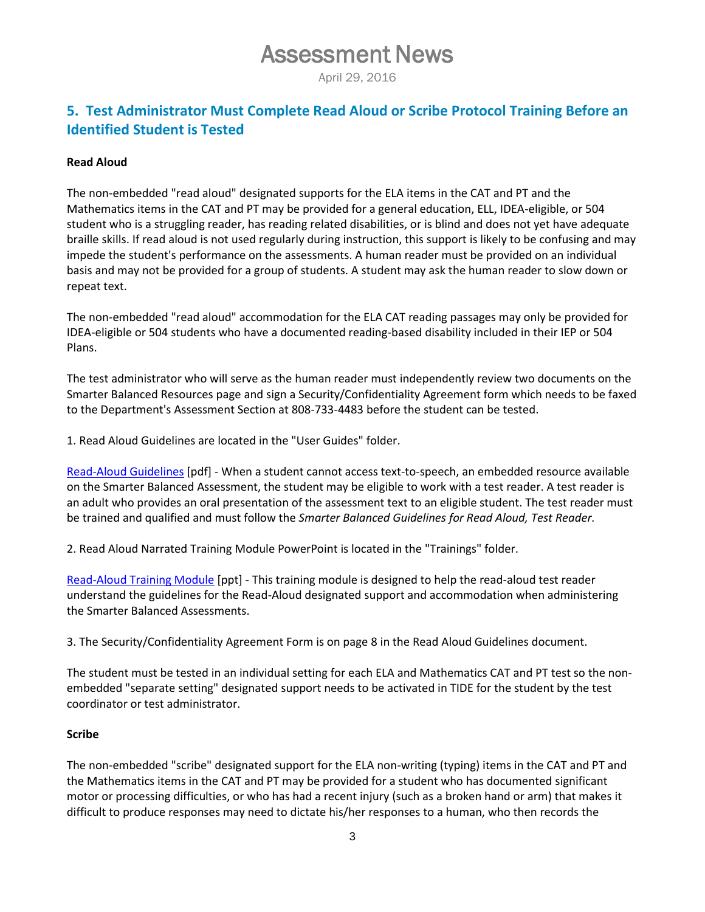April 29, 2016

### **5. Test Administrator Must Complete Read Aloud or Scribe Protocol Training Before an Identified Student is Tested**

#### **Read Aloud**

The non-embedded "read aloud" designated supports for the ELA items in the CAT and PT and the Mathematics items in the CAT and PT may be provided for a general education, ELL, IDEA-eligible, or 504 student who is a struggling reader, has reading related disabilities, or is blind and does not yet have adequate braille skills. If read aloud is not used regularly during instruction, this support is likely to be confusing and may impede the student's performance on the assessments. A human reader must be provided on an individual basis and may not be provided for a group of students. A student may ask the human reader to slow down or repeat text.

The non-embedded "read aloud" accommodation for the ELA CAT reading passages may only be provided for IDEA-eligible or 504 students who have a documented reading-based disability included in their IEP or 504 Plans.

The test administrator who will serve as the human reader must independently review two documents on the Smarter Balanced Resources page and sign a Security/Confidentiality Agreement form which needs to be faxed to the Department's Assessment Section at 808-733-4483 before the student can be tested.

1. Read Aloud Guidelines are located in the "User Guides" folder.

[Read-Aloud Guidelines](http://alohahsap.org/SMARTERBALANCED/wp-content/uploads/Read-Aloud-Guidelines_2015-2016.pdf) [pdf] - When a student cannot access text-to-speech, an embedded resource available on the Smarter Balanced Assessment, the student may be eligible to work with a test reader. A test reader is an adult who provides an oral presentation of the assessment text to an eligible student. The test reader must be trained and qualified and must follow the *Smarter Balanced Guidelines for Read Aloud, Test Reader.* 

2. Read Aloud Narrated Training Module PowerPoint is located in the "Trainings" folder.

[Read-Aloud Training Module](http://alohahsap.org/SMARTERBALANCED/wp-content/uploads/2015/03/Read-Aloud-Training-Module.pptx) [ppt] - This training module is designed to help the read-aloud test reader understand the guidelines for the Read-Aloud designated support and accommodation when administering the Smarter Balanced Assessments.

3. The Security/Confidentiality Agreement Form is on page 8 in the Read Aloud Guidelines document.

The student must be tested in an individual setting for each ELA and Mathematics CAT and PT test so the nonembedded "separate setting" designated support needs to be activated in TIDE for the student by the test coordinator or test administrator.

#### **Scribe**

The non-embedded "scribe" designated support for the ELA non-writing (typing) items in the CAT and PT and the Mathematics items in the CAT and PT may be provided for a student who has documented significant motor or processing difficulties, or who has had a recent injury (such as a broken hand or arm) that makes it difficult to produce responses may need to dictate his/her responses to a human, who then records the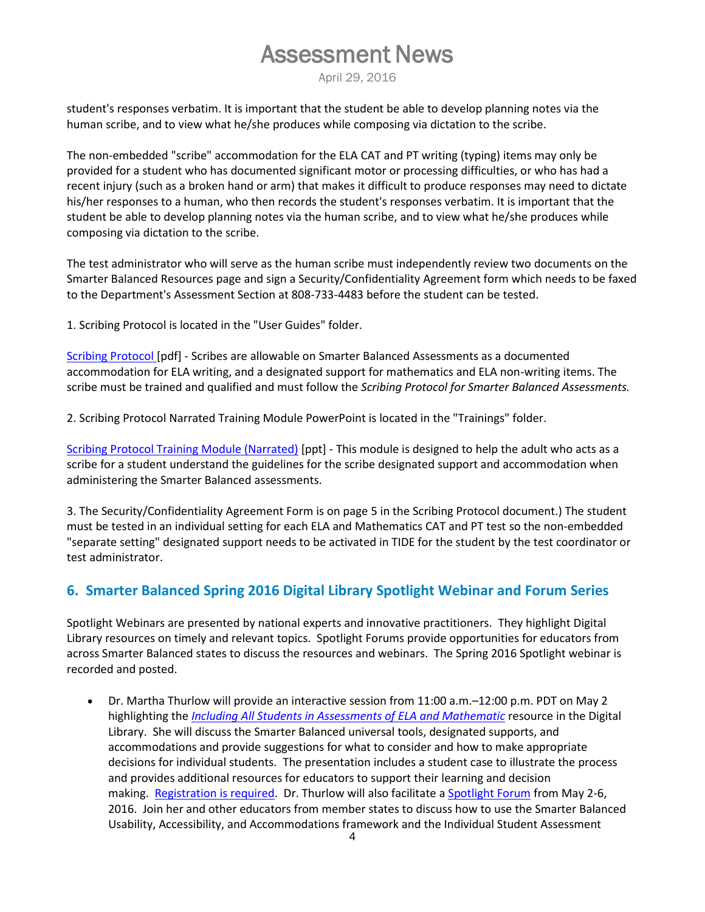April 29, 2016

student's responses verbatim. It is important that the student be able to develop planning notes via the human scribe, and to view what he/she produces while composing via dictation to the scribe.

The non-embedded "scribe" accommodation for the ELA CAT and PT writing (typing) items may only be provided for a student who has documented significant motor or processing difficulties, or who has had a recent injury (such as a broken hand or arm) that makes it difficult to produce responses may need to dictate his/her responses to a human, who then records the student's responses verbatim. It is important that the student be able to develop planning notes via the human scribe, and to view what he/she produces while composing via dictation to the scribe.

The test administrator who will serve as the human scribe must independently review two documents on the Smarter Balanced Resources page and sign a Security/Confidentiality Agreement form which needs to be faxed to the Department's Assessment Section at 808-733-4483 before the student can be tested.

1. Scribing Protocol is located in the "User Guides" folder.

[Scribing Protocol \[](http://alohahsap.org/SMARTERBALANCED/wp-content/uploads/Scribing-Protocol_2015_2016.pdf)pdf] - Scribes are allowable on Smarter Balanced Assessments as a documented accommodation for ELA writing, and a designated support for mathematics and ELA non-writing items. The scribe must be trained and qualified and must follow the *Scribing Protocol for Smarter Balanced Assessments.* 

2. Scribing Protocol Narrated Training Module PowerPoint is located in the "Trainings" folder.

[Scribing Protocol Training Module \(Narrated\)](http://alohahsap.org/SMARTERBALANCED/wp-content/uploads/2015/03/Scribing-Protocol-Training-Module.pptx) [ppt] - This module is designed to help the adult who acts as a scribe for a student understand the guidelines for the scribe designated support and accommodation when administering the Smarter Balanced assessments.

3. The Security/Confidentiality Agreement Form is on page 5 in the Scribing Protocol document.) The student must be tested in an individual setting for each ELA and Mathematics CAT and PT test so the non-embedded "separate setting" designated support needs to be activated in TIDE for the student by the test coordinator or test administrator.

#### **6. Smarter Balanced Spring 2016 Digital Library Spotlight Webinar and Forum Series**

Spotlight Webinars are presented by national experts and innovative practitioners. They highlight Digital Library resources on timely and relevant topics. Spotlight Forums provide opportunities for educators from across Smarter Balanced states to discuss the resources and webinars. The Spring 2016 Spotlight webinar is recorded and posted.

 Dr. Martha Thurlow will provide an interactive session from 11:00 a.m.–12:00 p.m. PDT on May 2 highlighting the *[Including All Students in Assessments of ELA and Mathematic](http://smarterbalanced.us11.list-manage.com/track/click?u=180c5db840df3e34c7063101f&id=99da0ece94&e=e2311b607f)* resource in the Digital Library. She will discuss the Smarter Balanced universal tools, designated supports, and accommodations and provide suggestions for what to consider and how to make appropriate decisions for individual students. The presentation includes a student case to illustrate the process and provides additional resources for educators to support their learning and decision making. [Registration is required.](http://smarterbalanced.us11.list-manage.com/track/click?u=180c5db840df3e34c7063101f&id=970b8df83a&e=e2311b607f) Dr. Thurlow will also facilitate a [Spotlight Forum](http://smarterbalanced.us11.list-manage.com/track/click?u=180c5db840df3e34c7063101f&id=92d965fdd9&e=e2311b607f) from May 2-6, 2016. Join her and other educators from member states to discuss how to use the Smarter Balanced Usability, Accessibility, and Accommodations framework and the Individual Student Assessment